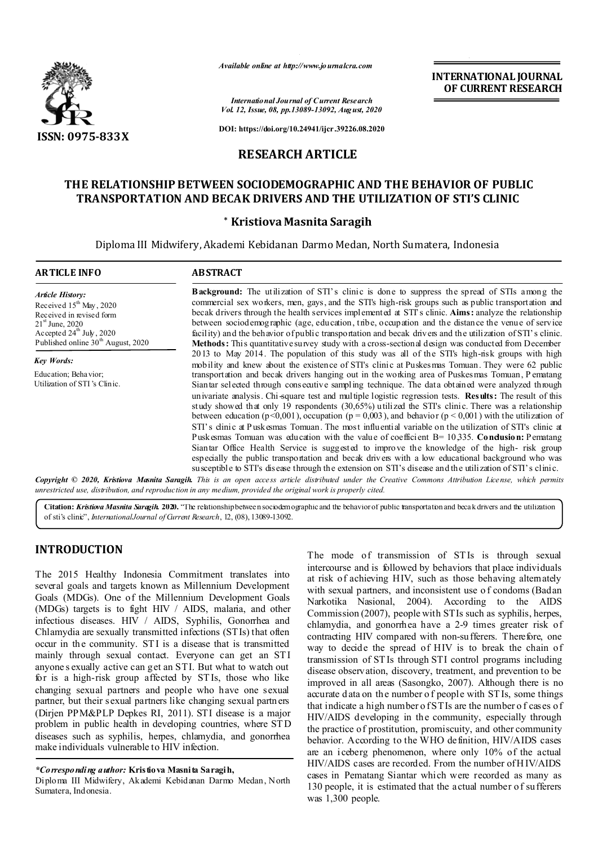

*Available online at http://www.journalcra.com*

*International Journal of Current Research Vol. 12, Issue, 08, pp.13089-13092, August, 2020*

**DOI: https://doi.org/10.24941/ijcr.39226.08.2020**

# **RESEARCH ARTICLE**

# **THE RELATIONSHIP BETWEEN SOCIODEMOGRAPHIC AND THE BEHAVIOR OF PUBLIC TRANSPORTATION AND BECAK DRIVERS AND THE UTILIZATION OF STI'S CLINIC**

#### **\* Kristiova Masnita Saragih**

Diploma III Midwifery, Akademi Kebidanan Darmo Medan, North Sumatera, Indonesia

| <b>ARTICLE INFO</b>                                                                                                                                                                                    | <b>ABSTRACT</b>                                                                                                                                                                                                                                                                                                                                                                                                                                                                                                                                                                                                                              |
|--------------------------------------------------------------------------------------------------------------------------------------------------------------------------------------------------------|----------------------------------------------------------------------------------------------------------------------------------------------------------------------------------------------------------------------------------------------------------------------------------------------------------------------------------------------------------------------------------------------------------------------------------------------------------------------------------------------------------------------------------------------------------------------------------------------------------------------------------------------|
| <b>Article History:</b><br>Received $15th$ May, 2020<br>Received in revised form<br>$21^{\rm st}$ June, 2020<br>Accepted $24^{\text{th}}$ July, 2020<br>Published online 30 <sup>th</sup> August, 2020 | <b>Background:</b> The utilization of STI's clinic is done to suppress the spread of STIs among the<br>commercial sex workers, men, gays, and the STI's high-risk groups such as public transportation and<br>becak drivers through the health services implemented at STI's clinic. Aims: analyze the relationship<br>between sociod emographic (age, education, tribe, occupation and the distance the venue of service<br>facility) and the behavior of public transportation and becak drivers and the utilization of STI's clinic.<br>Methods: This quantitative survey study with a cross-sectional design was conducted from December |
| <b>Key Words:</b>                                                                                                                                                                                      | 2013 to May 2014. The population of this study was all of the STI's high-risk groups with high<br>mobility and knew about the existence of STI's clinic at Puskesmas Tomuan. They were 62 public                                                                                                                                                                                                                                                                                                                                                                                                                                             |
| Education; Behavior;                                                                                                                                                                                   | transportation and becak drivers hanging out in the working area of Puskes mas Tomuan, Pematang                                                                                                                                                                                                                                                                                                                                                                                                                                                                                                                                              |
| Utilization of STI's Clinic.                                                                                                                                                                           | Siantar selected through consecutive sampling technique. The data obtained were analyzed through                                                                                                                                                                                                                                                                                                                                                                                                                                                                                                                                             |
|                                                                                                                                                                                                        | univariate analysis. Chi-square test and multiple logistic regression tests. <b>Results:</b> The result of this<br>study showed that only 19 respondents (30,65%) utilized the STI's clinic. There was a relationship<br>between education ( $p<0,001$ ), occupation ( $p = 0,003$ ), and behavior ( $p < 0,001$ ) with the utilization of                                                                                                                                                                                                                                                                                                   |
|                                                                                                                                                                                                        | STI's clinic at Puskesmas Tomuan. The most influential variable on the utilization of STI's clinic at                                                                                                                                                                                                                                                                                                                                                                                                                                                                                                                                        |
|                                                                                                                                                                                                        | Pusk esmas Tomuan was education with the value of coefficient $B = 10,335$ . Condusion: Pematang                                                                                                                                                                                                                                                                                                                                                                                                                                                                                                                                             |
|                                                                                                                                                                                                        | Siantar Office Health Service is suggested to improve the knowledge of the high-risk group<br>especially the public transportation and becak drivers with a low educational background who was<br>susceptible to STI's disease through the extension on STI's disease and the utilization of STI's clinic.                                                                                                                                                                                                                                                                                                                                   |
|                                                                                                                                                                                                        | Copyright © 2020, Kristiova Masnita Saragih. This is an open access article distributed under the Creative Commons Attribution License, which permits                                                                                                                                                                                                                                                                                                                                                                                                                                                                                        |

*unrestricted use, distribution, and reproduction in any medium, provided the original work is properly cited.*

Citation: *Kristiova Masnita Saragih.* 2020. "The relationship between sociodemographic and the behavior of public transportation and becak drivers and the utilization of sti's clinic", *International Journal of Current Research*, 12, (08), 13089-13092.

# **INTRODUCTION**

The 2015 Healthy Indonesia Commitment translates into several goals and targets known as Millennium Development Goals (MDGs). One of the Millennium Development Goals (MDGs) targets is to fight HIV / AIDS, malaria, and other infectious diseases. HIV / AIDS, Syphilis, Gonorrhea and Chlamydia are sexually transmitted infections (STIs) that often occur in the community. ST I is a disease that is transmitted mainly through sexual contact. Everyone can get an ST I anyone s exually active can get an STI. But what to watch out for is a high-risk group affected by ST Is, those who like changing sexual partners and people who have one sexual partner, but their s exual partners like changing sexual partners (Dirjen PPM&PLP Depkes RI, 2011). STI disease is a major problem in public health in developing countries, where ST D diseases such as syphilis, herpes, chlamydia, and gonorrhea make individuals vulnerable to HIV infection.

The mode of transmission of ST Is is through sexual intercourse and is followed by behaviors that place individuals at risk of achieving HIV, such as those behaving alternately with sexual partners, and inconsistent use of condoms (Badan Narkotika Nasional, 2004). According to the AIDS Commission (2007), people with STIs such as syphilis, herpes, chlamydia, and gonorrhea have a 2-9 times greater risk of contracting HIV compared with non-sufferers. Therefore, one way to decide the spread of HIV is to break the chain of transmission of ST Is through STI control programs including disease observation, discovery, treatment, and prevention to be improved in all areas (Sasongko, 2007). Although there is no accurate d ata on the number o f people with ST Is, some things that indicate a high number o f STIs are the number o f cases of HIV/AIDS developing in the community, especially through the practice of prostitution, promiscuity, and other community behavior. According to the WHO definition, HIV/AIDS cases are an iceberg phenomenon, where only 10% of the actual HIV/AIDS cases are recorded. From the number of H IV/AIDS cases in Pematang Siantar which were recorded as many as 130 people, it is estimated that the actual number of su fferers was 1,300 people.

**INTERNATIONAL JOURNAL OF CURRENT RESEARCH**

*<sup>\*</sup>Corresponding author:* **Kristiova Masnita Saragih,**

Diploma III Midwifery, Akademi Kebidanan Darmo Medan, North Sumatera, Indonesia.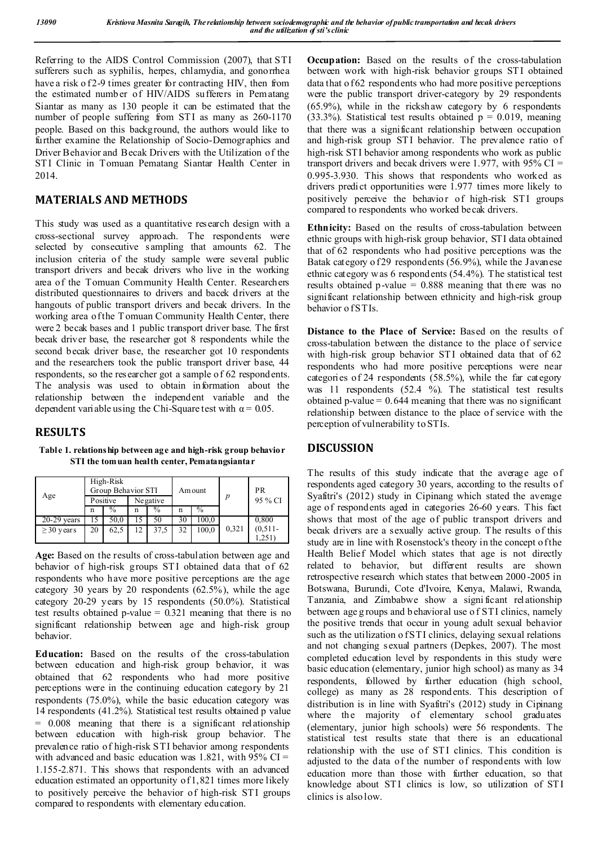Referring to the AIDS Control Commission (2007), that STI sufferers such as syphilis, herpes, chlamydia, and gonorrhea have a risk of 2-9 times greater for contracting HIV, then from the estimated number of HIV/AIDS sufferers in Pematang Siantar as many as 130 people it can be estimated that the number of people suffering from STI as many as 260-1170 people. Based on this background, the authors would like to further examine the Relationship of Socio-Demographics and Driver Behavior and Becak Drivers with the Utilization of the STI Clinic in Tomuan Pematang Siantar Health Center in 2014.

# **MATERIALS AND METHODS**

This study was used as a quantitative research design with a cross-sectional survey approach. The respondents were selected by consecutive sampling that amounts 62. The inclusion criteria of the study sample were several public transport drivers and becak drivers who live in the working area of the Tomuan Community Health Center. Researchers distributed questionnaires to drivers and bacek drivers at the hangouts of public transport drivers and becak drivers. In the working area of the T omuan Community Health Center, there were 2 becak bases and 1 public transport driver base. The first becak driver base, the researcher got 8 respondents while the second becak driver base, the researcher got 10 respondents and the researchers took the public transport driver base, 44 respondents, so the researcher got a sample of 62 respondents. The analysis was used to obtain information about the relationship between the independent variable and the dependent variable using the Chi-Square test with  $\alpha = 0.05$ .

# **RESULTS**

**Table 1. relationship between age and high-risk group behavior STI the tomuan health center, Pematangsiantar**

| Age             |          | High-Risk<br>Group Behavior STI |          |      |    | Am ount |       | PR        |
|-----------------|----------|---------------------------------|----------|------|----|---------|-------|-----------|
|                 | Positive |                                 | Negative |      |    |         |       | 95 % CI   |
|                 | n        | $\frac{0}{0}$                   | n        | $\%$ | n  | $\%$    |       |           |
| $20-29$ years   |          | 50,0                            |          | 50   | 30 | 100,0   |       | 0,800     |
| $\geq$ 30 years | 20       | 62,5                            | 12       | 37,5 | 32 | 100.0   | 0,321 | $(0,511-$ |
|                 |          |                                 |          |      |    |         |       | 1.251     |

**Age:** Based on the results of cross-tabulation between age and behavior of high-risk groups STI obtained data that of 62 respondents who have more positive perceptions are the age category 30 years by 20 respondents  $(62.5\%)$ , while the age category 20-29 years by 15 respondents (50.0%). Statistical test results obtained p-value  $= 0.321$  meaning that there is no significant relationship between age and high-risk group behavior.

**Education:** Based on the results of the cross-tabulation between education and high-risk group behavior, it was obtained that 62 respondents who had more positive perceptions were in the continuing education category by 21 respondents (75.0%), while the basic education category was 14 respondents (41.2%). Statistical test results obtained p value  $= 0.008$  meaning that there is a significant relationship between education with high-risk group behavior. The prevalence ratio of high-risk STI behavior among respondents with advanced and basic education was 1.821, with  $95\%$  CI = 1.155-2.871. This shows that respondents with an advanced education estimated an opportunity of 1,821 times more likely to positively perceive the behavior of high-risk STI groups compared to respondents with elementary education.

**Occupation:** Based on the results of the cross-tabulation between work with high-risk behavior groups STI obtained data that  $\alpha$  f 62 respondents who had more positive perceptions were the public transport driver-category by 29 respondents (65.9%), while in the rickshaw category by 6 respondents  $(33.3\%)$ . Statistical test results obtained  $p = 0.019$ , meaning that there was a significant relationship between occupation and high-risk group STI behavior. The prevalence ratio of high-risk STI behavior among respondents who work as public transport drivers and becak drivers were 1.977, with  $95\%$  CI = 0.995-3.930. This shows that respondents who worked as drivers predict opportunities were 1.977 times more likely to positively perceive the behavior of high-risk STI groups compared to respondents who worked becak drivers.

**Ethnicity:** Based on the results of cross-tabulation between ethnic groups with high-risk group behavior, STI data obtained that of 62 respondents who had positive perceptions was the Batak category of 29 respondents (56.9%), while the Javanese ethnic category w as 6 respondents (54.4%). The statistical test results obtained p-value  $= 0.888$  meaning that there was no significant relationship between ethnicity and high-risk group behavior of STIs.

**Distance to the Place of Service:** Based on the results of cross-tabulation between the distance to the place of service with high-risk group behavior STI obtained data that of 62 respondents who had more positive perceptions were near categories of 24 respondents (58.5%), while the far category was 11 respondents (52.4 %). The statistical test results obtained p-value  $= 0.644$  meaning that there was no significant relationship between distance to the place of service with the perception of vulnerability to STIs.

# **DISCUSSION**

The results of this study indicate that the average age of respondents aged category 30 years, according to the results of Syafitri's (2012) study in Cipinang which stated the average age of respondents aged in categories 26-60 years. This fact shows that most of the age of public transport drivers and becak drivers are a sexually active group. The results of this study are in line with Rosenstock's theory in the concept of the Health Belief Model which states that age is not directly related to behavior, but different results are shown retrospective research which states that between 2000 -2005 in Botswana, Burundi, Cote d'Ivoire, Kenya, Malawi, Rwanda, Tanzania, and Zimbabwe show a signi ficant relationship between age g roups and b ehavioral use o f STI clinics, namely the positive trends that occur in young adult sexual behavior such as the utilization of STI clinics, delaying sexual relations and not changing sexual partners (Depkes, 2007). The most completed education level by respondents in this study were basic education (elementary, junior high school) as many as 34 respondents, followed by further education (high school, college) as many as 28 respondents. This description of distribution is in line with Syafitri's (2012) study in Cipinang where the majority of elementary school graduates (elementary, junior high schools) were 56 respondents. The statistical test results state that there is an educational relationship with the use of STI clinics. This condition is adjusted to the data of the number of respondents with low education more than those with further education, so that knowledge about STI clinics is low, so utilization of STI clinics is also low.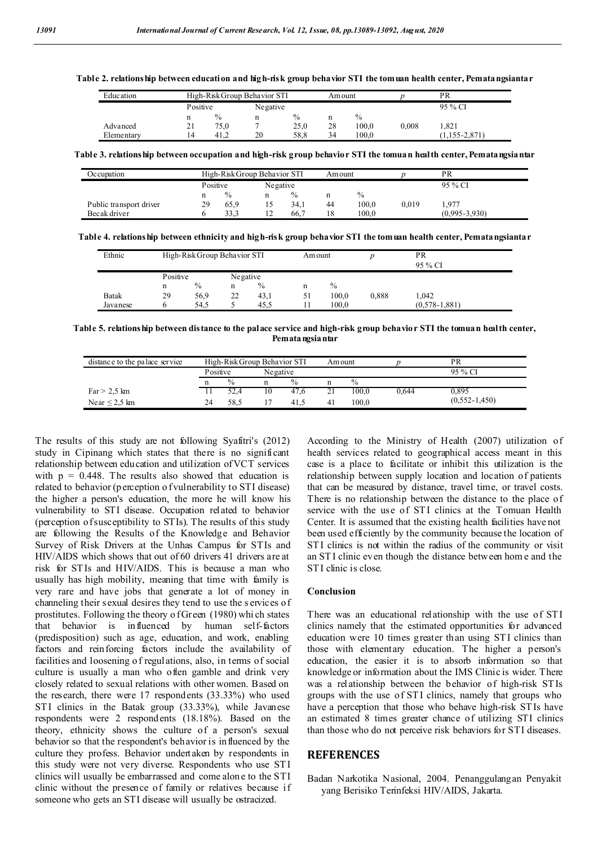**Table 2. relationship between education and high-risk group behavior STI the tomuan health center, Pematangsiantar**

| Education  |          | High-Risk Group Behavior STI |          |      | Am ount |       |       | PR                |  |
|------------|----------|------------------------------|----------|------|---------|-------|-------|-------------------|--|
|            | Positive |                              | Negative |      |         |       |       | 95 % CI           |  |
|            | n        | $\%$                         | n        | $\%$ | n       | $\%$  |       |                   |  |
| Advanced   | 21       | 75,0                         |          | 25,0 | 28      | 100.0 | 0.008 | .821              |  |
| Elementary | 14       | 41.2                         | 20       | 58.8 | 34      | 100.0 |       | $(1.155 - 2.871)$ |  |

**Table 3. relationship between occupation and high-risk group behavior STI the tomuan health center, Pematangsiantar**

| Occupation              |          | High-Risk Group Behavior STI |          |               | Am ount |               |       | PR                |
|-------------------------|----------|------------------------------|----------|---------------|---------|---------------|-------|-------------------|
|                         | Positive |                              | Negative |               |         |               |       | 95 % CI           |
|                         | n        | $\frac{0}{0}$                |          | $\frac{0}{0}$ |         | $\frac{0}{0}$ |       |                   |
| Public transport driver | 29       | 65,9                         |          | 34,1          | 44      | 100.0         | 0.019 | .977              |
| Becak driver            |          | 33.3                         |          | 66.7          | 18      | 100.0         |       | $(0.995 - 3.930)$ |

**Table 4. relationship between ethnicity and high-risk group behavior STI the tomuan health center, Pematangsiantar**

| Ethnic   |                      | High-Risk Group Behavior STI |    |      | Amount |       |       | PR<br>95 % CI     |  |
|----------|----------------------|------------------------------|----|------|--------|-------|-------|-------------------|--|
|          | Positive<br>Negative |                              |    |      |        |       |       |                   |  |
|          | n                    | $\%$                         | n  | $\%$ | n      | $\%$  |       |                   |  |
| Batak    | 29                   | 56,9                         | 22 | 43,1 | 51     | 100,0 | 0,888 | 1.042             |  |
| Javanese |                      | 54.5                         |    | 45.5 |        | 100.0 |       | $(0.578 - 1.881)$ |  |

**Table 5. relationship between distance to the palace service and high-risk group behavior STI the tomuan health center, Pematangsiantar**

| distance to the palace service |          | High-Risk Group Behavior STI |          |               | Am ount |       |       | PR                |
|--------------------------------|----------|------------------------------|----------|---------------|---------|-------|-------|-------------------|
|                                | Positive |                              | Negative |               |         |       |       | 95 % CI           |
|                                |          | $\frac{0}{0}$                |          | $\frac{0}{0}$ |         | $\%$  |       |                   |
| Far > 2.5 km                   |          | 52.4                         | 10       | 47.6          |         | 100.0 | 0.644 | 0.895             |
| Near $\leq$ 2.5 km             | 24       | 58.5                         |          | 41.5          | 41      | 100.0 |       | $(0.552 - 1.450)$ |

The results of this study are not following Syafitri's (2012) study in Cipinang which states that there is no significant relationship between education and utilization of VCT services with  $p = 0.448$ . The results also showed that education is related to behavior (perception o f vulnerability to STI disease) the higher a person's education, the more he will know his vulnerability to STI disease. Occupation related to behavior (perception of susceptibility to STIs). The results of this study are following the Results of the Knowledge and Behavior Survey of Risk Drivers at the Unhas Campus for STIs and HIV/AIDS which shows that out of 60 drivers 41 drivers are at risk for ST Is and HIV/AIDS. This is because a man who usually has high mobility, meaning that time with family is very rare and have jobs that generate a lot of money in channeling their sexual desires they tend to use the s ervices of prostitutes. Following the theory o f Green (1980) whi ch states that behavior is influenced by human self-factors (predisposition) such as age, education, and work, enabling factors and reinforcing factors include the availability of facilities and loosening o f regulations, also, in terms of social culture is usually a man who often gamble and drink very closely related to sexual relations with other women. Based on the research, there were 17 respondents (33.33%) who used STI clinics in the Batak group (33.33%), while Javanese respondents were 2 respondents (18.18%). Based on the theory, ethnicity shows the culture of a person's sexual behavior so that the respondent's behavior is influenced by the culture they profess. Behavior undertaken by respondents in this study were not very diverse. Respondents who use ST I clinics will usually be embarrassed and come alon e to the STI clinic without the presence of family or relatives because if someone who gets an STI disease will usually be ostracized.

According to the Ministry of Health (2007) utilization of health services related to geographical access meant in this case is a place to facilitate or inhibit this utilization is the relationship between supply location and location of patients that can be measured by distance, travel time, or travel costs. There is no relationship between the distance to the place of service with the use of STI clinics at the Tomuan Health Center. It is assumed that the existing health facilities have not been used efficiently by the community because the location of STI clinics is not within the radius of the community or visit an ST I clinic even though the distance between hom e and the STI clinic is close.

#### **Conclusion**

There was an educational relationship with the use of STI clinics namely that the estimated opportunities for advanced education were 10 times greater than using STI clinics than those with elementary education. The higher a person's education, the easier it is to absorb information so that knowledge or information about the IMS Clinic is wider. There was a relationship between the behavior of high-risk ST Is groups with the use of ST I clinics, namely that groups who have a perception that those who behave high-risk ST Is have an estimated 8 times greater chance of utilizing STI clinics than those who do not perceive risk behaviors for STI diseases.

#### **REFERENCES**

Badan Narkotika Nasional, 2004. Penanggulangan Penyakit yang Berisiko Terinfeksi HIV/AIDS, Jakarta.